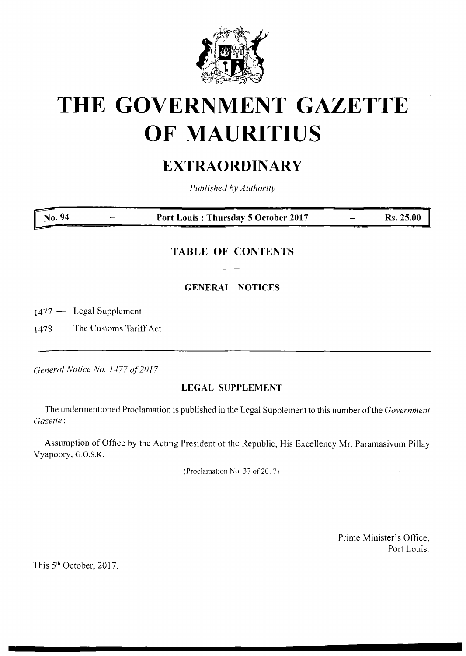

# **THE GOVERNMENT GAZETTE OF MAURITIUS**

## **EXTRAORDINARY**

*Published by Authority*

**No. 94 Port Louis : Thursday 5 October 2017 Rs. 25.00**

### **TABLE OF CONTENTS**

#### **GENERAL NOTICES**

1477 — Legal Supplement

 $1478 -$  The Customs Tariff Act

*General Notice No. 1477 of2017*

#### **LEGAL SUPPLEMENT**

The undermentioned Proclamation is published in the Legal Supplement to this number ofthe *Government Gazette:*

Assumption of Office by the Acting President of the Republic, His Excellency Mr. Paramasivum Pillay Vyapoory, G.O.S.K.

(Proclamation No. 37 of 2017)

Prime Minister's Office, Port Louis.

This 5th October, 2017.